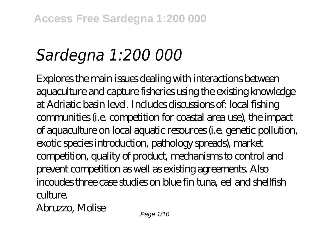# *Sardegna 1:200 000*

Explores the main issues dealing with interactions between aquaculture and capture fisheries using the existing knowledge at Adriatic basin level. Includes discussions of: local fishing communities (i.e. competition for coastal area use), the impact of aquaculture on local aquatic resources (i.e. genetic pollution, exotic species introduction, pathology spreads), market competition, quality of product, mechanisms to control and prevent competition as well as existing agreements. Also incoudes three case studies on blue fin tuna, eel and shellfish culture. Abruzzo, Molise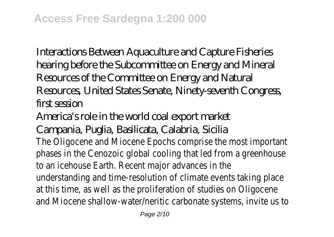Interactions Between Aquaculture and Capture Fisheries hearing before the Subcommittee on Energy and Mineral Resources of the Committee on Energy and Natural Resources, United States Senate, Ninety-seventh Congress, first session

America's role in the world coal export market

Campania, Puglia, Basilicata, Calabria, Sicilia

The Oligocene and Miocene Epochs comprise the most importa phases in the Cenozoic global cooling that led from a greenhous to an icehouse Earth. Recent major advances in the understanding and time-resolution of climate events taking pla at this time, as well as the proliferation of studies on Oligocen and Miocene shallow-water/neritic carbonate systems, invite us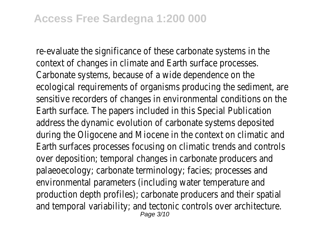re-evaluate the significance of these carbonate systems in the context of changes in climate and Earth surface processes. Carbonate systems, because of a wide dependence on the ecological requirements of organisms producing the sediment, sensitive recorders of changes in environmental conditions on Earth surface. The papers included in this Special Publication address the dynamic evolution of carbonate systems deposited during the Oligocene and Miocene in the context on climatic and Earth surfaces processes focusing on climatic trends and cont over deposition; temporal changes in carbonate producers and palaeoecology; carbonate terminology; facies; processes and environmental parameters (including water temperature and production depth profiles); carbonate producers and their spat and temporal variability; and tectonic controls over architectur<br>Page 3/10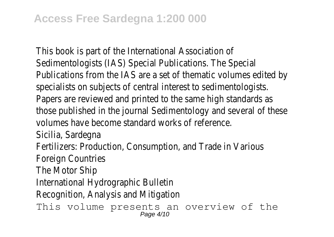This book is part of the International Association of Sedimentologists (IAS) Special Publications. The Special Publications from the IAS are a set of thematic volumes edited specialists on subjects of central interest to sedimentologists. Papers are reviewed and printed to the same high standards a those published in the journal Sedimentology and several of the volumes have become standard works of reference. Sicilia, Sardegna Fertilizers: Production, Consumption, and Trade in Various Foreign Countries The Motor Ship International Hydrographic Bulletin Recognition, Analysis and Mitigation This volume presents an overview of the Page 4/10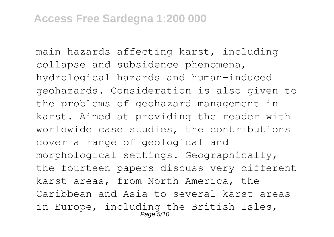main hazards affecting karst, including collapse and subsidence phenomena, hydrological hazards and human-induced geohazards. Consideration is also given to the problems of geohazard management in karst. Aimed at providing the reader with worldwide case studies, the contributions cover a range of geological and morphological settings. Geographically, the fourteen papers discuss very different karst areas, from North America, the Caribbean and Asia to several karst areas in Europe, including the British Isles, Page 5/10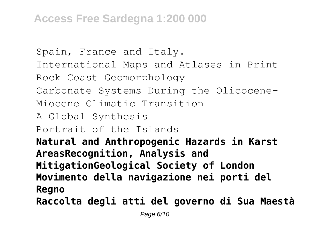## **Access Free Sardegna 1:200 000**

```
Spain, France and Italy.
International Maps and Atlases in Print
Rock Coast Geomorphology
Carbonate Systems During the Olicocene-
Miocene Climatic Transition
A Global Synthesis
Portrait of the Islands
Natural and Anthropogenic Hazards in Karst
AreasRecognition, Analysis and
MitigationGeological Society of London
Movimento della navigazione nei porti del
Regno
Raccolta degli atti del governo di Sua Maestà
```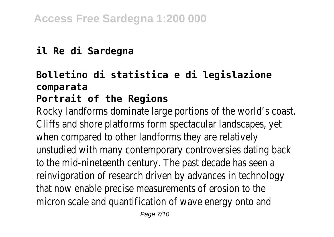### **il Re di Sardegna**

# **Bolletino di statistica e di legislazione comparata**

#### **Portrait of the Regions**

Rocky landforms dominate large portions of the world's co-Cliffs and shore platforms form spectacular landscapes, yet when compared to other landforms they are relatively unstudied with many contemporary controversies dating back to the mid-nineteenth century. The past decade has seen reinvigoration of research driven by advances in technolog that now enable precise measurements of erosion to the micron scale and quantification of wave energy onto and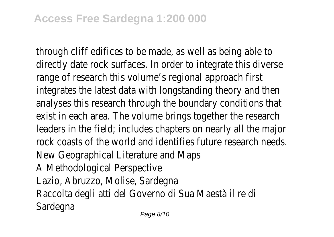through cliff edifices to be made, as well as being able to directly date rock surfaces. In order to integrate this dive range of research this volume's regional approach first integrates the latest data with longstanding theory and the analyses this research through the boundary conditions that exist in each area. The volume brings together the researd leaders in the field; includes chapters on nearly all the major rock coasts of the world and identifies future research ne New Geographical Literature and Maps A Methodological Perspective Lazio, Abruzzo, Molise, Sardegna Raccolta degli atti del Governo di Sua Maestà il re di **Sardegna**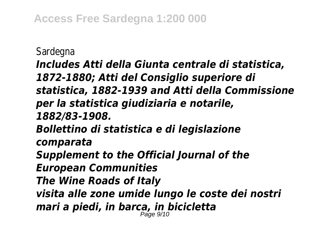Sardegna

*Includes Atti della Giunta centrale di statistica, 1872-1880; Atti del Consiglio superiore di statistica, 1882-1939 and Atti della Commissione per la statistica giudiziaria e notarile, 1882/83-1908. Bollettino di statistica e di legislazione comparata Supplement to the Official Journal of the European Communities The Wine Roads of Italy visita alle zone umide lungo le coste dei nostri mari a piedi, in barca, in bicicletta* Page 9/10